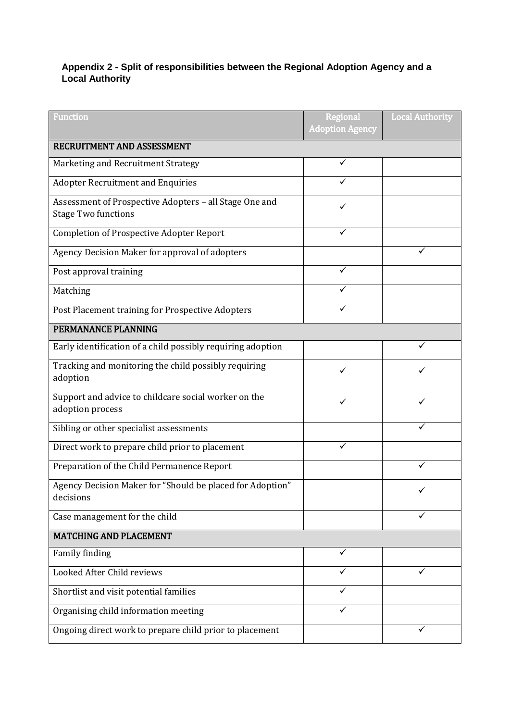## **Appendix 2 - Split of responsibilities between the Regional Adoption Agency and a Local Authority**

| Function                                                                             | Regional<br><b>Adoption Agency</b> | <b>Local Authority</b> |
|--------------------------------------------------------------------------------------|------------------------------------|------------------------|
| RECRUITMENT AND ASSESSMENT                                                           |                                    |                        |
| Marketing and Recruitment Strategy                                                   | ✓                                  |                        |
| <b>Adopter Recruitment and Enquiries</b>                                             |                                    |                        |
| Assessment of Prospective Adopters - all Stage One and<br><b>Stage Two functions</b> | ✓                                  |                        |
| <b>Completion of Prospective Adopter Report</b>                                      | ✓                                  |                        |
| Agency Decision Maker for approval of adopters                                       |                                    |                        |
| Post approval training                                                               | ✓                                  |                        |
| Matching                                                                             |                                    |                        |
| Post Placement training for Prospective Adopters                                     |                                    |                        |
| PERMANANCE PLANNING                                                                  |                                    |                        |
| Early identification of a child possibly requiring adoption                          |                                    |                        |
| Tracking and monitoring the child possibly requiring<br>adoption                     | ✓                                  |                        |
| Support and advice to childcare social worker on the<br>adoption process             | ✓                                  |                        |
| Sibling or other specialist assessments                                              |                                    |                        |
| Direct work to prepare child prior to placement                                      | ✓                                  |                        |
| Preparation of the Child Permanence Report                                           |                                    |                        |
| Agency Decision Maker for "Should be placed for Adoption"<br>decisions               |                                    |                        |
| Case management for the child                                                        |                                    |                        |
| MATCHING AND PLACEMENT                                                               |                                    |                        |
| Family finding                                                                       |                                    |                        |
| Looked After Child reviews                                                           |                                    |                        |
| Shortlist and visit potential families                                               |                                    |                        |
| Organising child information meeting                                                 |                                    |                        |
| Ongoing direct work to prepare child prior to placement                              |                                    |                        |